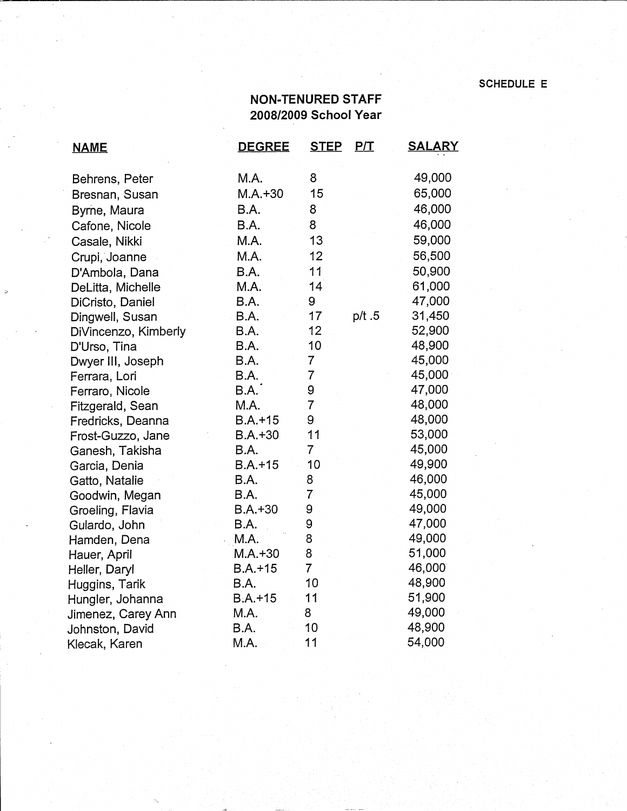## **SCHEDULE** E

## **NON-TENURED STAFF 2008/2009 School Year**

| <b>NAME</b>          | <b>DEGREE</b> | <b>STEP</b>    | P/I   | <u>SALARY</u>    |
|----------------------|---------------|----------------|-------|------------------|
| Behrens, Peter       | M.A.          | 8              |       | 49,000           |
| Bresnan, Susan       | $M.A.+30$     | 15             |       | 65,000           |
| Byrne, Maura         | B.A.          | 8              |       | 46,000           |
| Cafone, Nicole       | B.A.          | 8              |       | 46,000           |
| Casale, Nikki        | M.A.          | 13             |       | 59,000           |
| Crupi, Joanne        | M.A.          | 12             |       | 56,500           |
| D'Ambola, Dana       | B.A.          | 11             |       | 50,900           |
| DeLitta, Michelle    | M.A.          | 14             |       | 61,000           |
| DiCristo, Daniel     | B.A.          | 9              |       | 47,000           |
| Dingwell, Susan      | B.A.          | 17             | p/t.5 | 31,450           |
| DiVincenzo, Kimberly | B.A.          | 12             |       | 52,900           |
| D'Urso, Tina         | B.A.          | 10             |       | 48,900           |
| Dwyer III, Joseph    | B.A.          | $\overline{7}$ |       | 45,000           |
| Ferrara, Lori        | B.A.          | $\overline{7}$ |       | 45,000           |
| Ferraro, Nicole      | B.A.          | 9              |       | 47,000           |
| Fitzgerald, Sean     | M.A.          | $\overline{7}$ |       | 48,000           |
| Fredricks, Deanna    | $B.A.+15$     | 9              |       | 48,000           |
| Frost-Guzzo, Jane    | $B.A.+30$     | 11             |       | 53,000           |
| Ganesh, Takisha      | B.A.          | $\overline{7}$ |       | 45,000           |
| Garcia, Denia        | $B.A.+15$     | 10             |       | 49,900           |
| Gatto, Natalie       | B.A.          | 8              |       | 46,000           |
| Goodwin, Megan       | B.A.          | $\overline{7}$ |       | 45,000           |
| Groeling, Flavia     | $B.A.+30$     | 9              |       | 49,000           |
| Gulardo, John        | B.A.          | 9              |       | 47,000           |
| Hamden, Dena         | M.A.          | 8              |       | 49,000           |
| Hauer, April         | $M.A. + 30$   | 8              |       | 51,000           |
| Heller, Daryl        | $B.A.+15$     | $\overline{7}$ |       | 46,000           |
| Huggins, Tarik       | B.A.          | 10             |       | 48,900<br>51,900 |
| Hungler, Johanna     | $B.A.+15$     | 11             |       | 49,000           |
| Jimenez, Carey Ann   | M.A.          | 8<br>10        |       | 48,900           |
| Johnston, David      | B.A.<br>M.A.  | 11             |       | 54,000           |
| Klecak, Karen        |               |                |       |                  |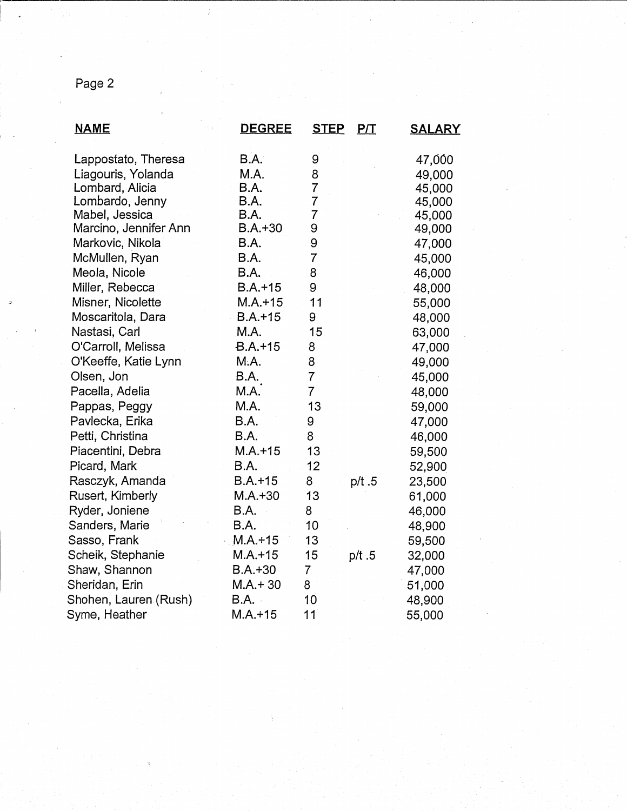## Page 2

| <b>NAME</b>           | <b>DEGREE</b> | <b>STEP</b>    | P/T   | <b>SALARY</b> |
|-----------------------|---------------|----------------|-------|---------------|
| Lappostato, Theresa   | B.A.          | 9              |       | 47,000        |
| Liagouris, Yolanda    | M.A.          | 8              |       | 49,000        |
| Lombard, Alicia       | <b>B.A.</b>   | $\overline{7}$ |       | 45,000        |
| Lombardo, Jenny       | B.A.          | $\overline{7}$ |       | 45,000        |
| Mabel, Jessica        | B.A.          | 7              |       | 45,000        |
| Marcino, Jennifer Ann | $B.A.+30$     | 9              |       | 49,000        |
| Markovic, Nikola      | B.A.          | 9              |       | 47,000        |
| McMullen, Ryan        | B.A.          | $\overline{7}$ |       | 45,000        |
| Meola, Nicole         | B.A.          | 8              |       | 46,000        |
| Miller, Rebecca       | $B.A.+15$     | 9              |       | 48,000        |
| Misner, Nicolette     | $M.A.+15$     | 11             |       | 55,000        |
| Moscaritola, Dara     | $B.A.+15$     | 9              |       | 48,000        |
| Nastasi, Carl         | M.A.          | 15             |       | 63,000        |
| O'Carroll, Melissa    | $B.A. + 15$   | 8              |       | 47,000        |
| O'Keeffe, Katie Lynn  | M.A.          | 8              |       | 49,000        |
| Olsen, Jon            | B.A.          | $\overline{7}$ |       | 45,000        |
| Pacella, Adelia       | M.A.          | $\overline{7}$ |       | 48,000        |
| Pappas, Peggy         | M.A.          | 13             |       | 59,000        |
| Pavlecka, Erika       | B.A.          | 9              |       | 47,000        |
| Petti, Christina      | B.A.          | 8              |       | 46,000        |
| Piacentini, Debra     | $M.A.+15$     | 13             |       | 59,500        |
| Picard, Mark          | B.A.          | 12             |       | 52,900        |
| Rasczyk, Amanda       | $B.A.+15$     | 8              | p/t.5 | 23,500        |
| Rusert, Kimberly      | $M.A.+30$     | 13             |       | 61,000        |
| Ryder, Joniene        | B.A.          | 8              |       | 46,000        |
| Sanders, Marie        | B.A.          | 10             |       | 48,900        |
| Sasso, Frank          | $M.A.+15$     | 13             |       | 59,500        |
| Scheik, Stephanie     | $M.A.+15$     | 15             | p/t.5 | 32,000        |
| Shaw, Shannon         | $B.A.+30$     | 7              |       | 47,000        |
| Sheridan, Erin        | $M.A.+30$     | 8              |       | 51,000        |
| Shohen, Lauren (Rush) | <b>B.A.</b>   | 10             |       | 48,900        |
| Syme, Heather         | $M.A.+15$     | 11             |       | 55,000        |